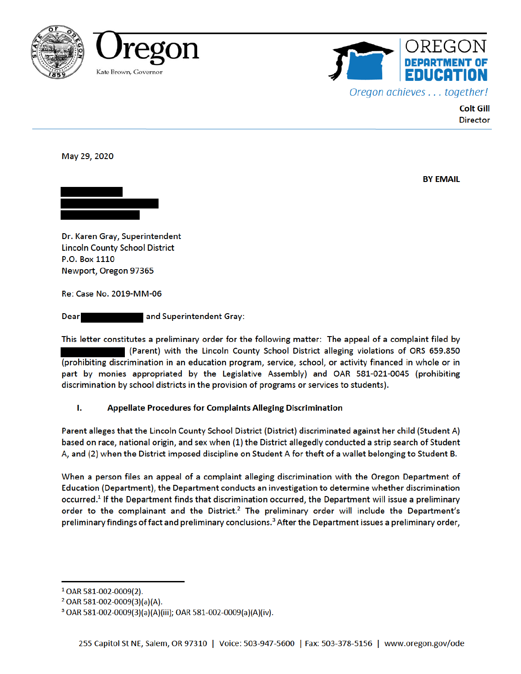





**Colt Gill Director** 

May 29, 2020

**BY EMAIL** 



Dr. Karen Gray, Superintendent **Lincoln County School District** P.O. Box 1110 Newport, Oregon 97365

Re: Case No. 2019-MM-06

**Dear** and Superintendent Gray:

This letter constitutes a preliminary order for the following matter: The appeal of a complaint filed by (Parent) with the Lincoln County School District alleging violations of ORS 659.850 (prohibiting discrimination in an education program, service, school, or activity financed in whole or in part by monies appropriated by the Legislative Assembly) and OAR 581-021-0045 (prohibiting discrimination by school districts in the provision of programs or services to students).

#### ī. Appellate Procedures for Complaints Alleging Discrimination

Parent alleges that the Lincoln County School District (District) discriminated against her child (Student A) based on race, national origin, and sex when (1) the District allegedly conducted a strip search of Student A, and (2) when the District imposed discipline on Student A for theft of a wallet belonging to Student B.

When a person files an appeal of a complaint alleging discrimination with the Oregon Department of Education (Department), the Department conducts an investigation to determine whether discrimination occurred.<sup>1</sup> If the Department finds that discrimination occurred, the Department will issue a preliminary order to the complainant and the District.<sup>2</sup> The preliminary order will include the Department's preliminary findings of fact and preliminary conclusions.<sup>3</sup> After the Department issues a preliminary order,

 $1$  OAR 581-002-0009(2).

 $2$  OAR 581-002-0009(3)(a)(A).

<sup>&</sup>lt;sup>3</sup> OAR 581-002-0009(3)(a)(A)(iii); OAR 581-002-0009(a)(A)(iv).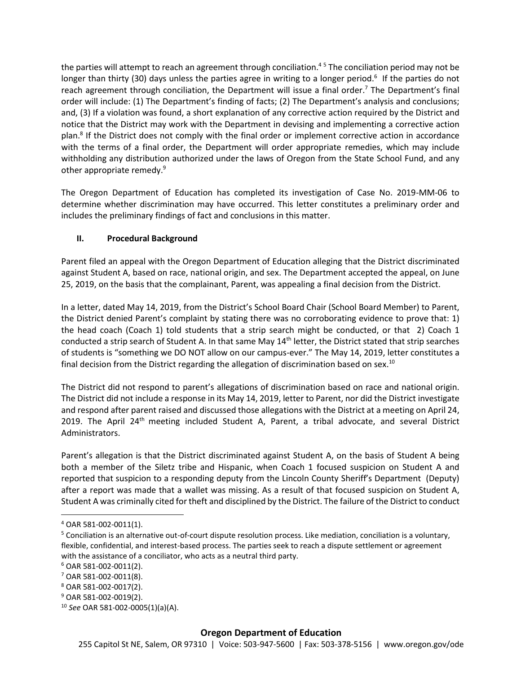the parties will attempt to reach an agreement through conciliation.<sup>45</sup> The conciliation period may not be longer than thirty (30) days unless the parties agree in writing to a longer period.<sup>6</sup> If the parties do not reach agreement through conciliation, the Department will issue a final order.<sup>7</sup> The Department's final order will include: (1) The Department's finding of facts; (2) The Department's analysis and conclusions; and, (3) If a violation was found, a short explanation of any corrective action required by the District and notice that the District may work with the Department in devising and implementing a corrective action plan.<sup>8</sup> If the District does not comply with the final order or implement corrective action in accordance with the terms of a final order, the Department will order appropriate remedies, which may include withholding any distribution authorized under the laws of Oregon from the State School Fund, and any other appropriate remedy.<sup>9</sup>

The Oregon Department of Education has completed its investigation of Case No. 2019-MM-06 to determine whether discrimination may have occurred. This letter constitutes a preliminary order and includes the preliminary findings of fact and conclusions in this matter.

# **II. Procedural Background**

Parent filed an appeal with the Oregon Department of Education alleging that the District discriminated against Student A, based on race, national origin, and sex. The Department accepted the appeal, on June 25, 2019, on the basis that the complainant, Parent, was appealing a final decision from the District.

In a letter, dated May 14, 2019, from the District's School Board Chair (School Board Member) to Parent, the District denied Parent's complaint by stating there was no corroborating evidence to prove that: 1) the head coach (Coach 1) told students that a strip search might be conducted, or that 2) Coach 1 conducted a strip search of Student A. In that same May 14<sup>th</sup> letter, the District stated that strip searches of students is "something we DO NOT allow on our campus-ever." The May 14, 2019, letter constitutes a final decision from the District regarding the allegation of discrimination based on sex.<sup>10</sup>

The District did not respond to parent's allegations of discrimination based on race and national origin. The District did not include a response in its May 14, 2019, letter to Parent, nor did the District investigate and respond after parent raised and discussed those allegations with the District at a meeting on April 24, 2019. The April 24<sup>th</sup> meeting included Student A, Parent, a tribal advocate, and several District Administrators.

Parent's allegation is that the District discriminated against Student A, on the basis of Student A being both a member of the Siletz tribe and Hispanic, when Coach 1 focused suspicion on Student A and reported that suspicion to a responding deputy from the Lincoln County Sheriff's Department (Deputy) after a report was made that a wallet was missing. As a result of that focused suspicion on Student A, Student A was criminally cited for theft and disciplined by the District. The failure of the District to conduct

<sup>4</sup> OAR 581-002-0011(1).

 $5$  Conciliation is an alternative out-of-court dispute resolution process. Like mediation, conciliation is a voluntary, flexible, confidential, and interest-based process. The parties seek to reach a dispute settlement or agreement with the assistance of a conciliator, who acts as a neutral third party.

<sup>6</sup> OAR 581-002-0011(2).

<sup>7</sup> OAR 581-002-0011(8).

<sup>8</sup> OAR 581-002-0017(2).

<sup>9</sup> OAR 581-002-0019(2).

<sup>10</sup> *See* OAR 581-002-0005(1)(a)(A).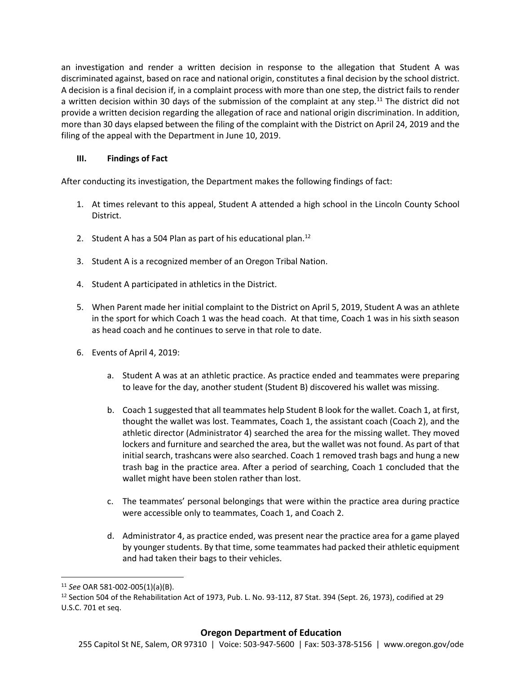an investigation and render a written decision in response to the allegation that Student A was discriminated against, based on race and national origin, constitutes a final decision by the school district. A decision is a final decision if, in a complaint process with more than one step, the district fails to render a written decision within 30 days of the submission of the complaint at any step.<sup>11</sup> The district did not provide a written decision regarding the allegation of race and national origin discrimination. In addition, more than 30 days elapsed between the filing of the complaint with the District on April 24, 2019 and the filing of the appeal with the Department in June 10, 2019.

# **III. Findings of Fact**

After conducting its investigation, the Department makes the following findings of fact:

- 1. At times relevant to this appeal, Student A attended a high school in the Lincoln County School District.
- 2. Student A has a 504 Plan as part of his educational plan. $^{12}$
- 3. Student A is a recognized member of an Oregon Tribal Nation.
- 4. Student A participated in athletics in the District.
- 5. When Parent made her initial complaint to the District on April 5, 2019, Student A was an athlete in the sport for which Coach 1 was the head coach. At that time, Coach 1 was in his sixth season as head coach and he continues to serve in that role to date.
- 6. Events of April 4, 2019:
	- a. Student A was at an athletic practice. As practice ended and teammates were preparing to leave for the day, another student (Student B) discovered his wallet was missing.
	- b. Coach 1 suggested that all teammates help Student B look for the wallet. Coach 1, at first, thought the wallet was lost. Teammates, Coach 1, the assistant coach (Coach 2), and the athletic director (Administrator 4) searched the area for the missing wallet. They moved lockers and furniture and searched the area, but the wallet was not found. As part of that initial search, trashcans were also searched. Coach 1 removed trash bags and hung a new trash bag in the practice area. After a period of searching, Coach 1 concluded that the wallet might have been stolen rather than lost.
	- c. The teammates' personal belongings that were within the practice area during practice were accessible only to teammates, Coach 1, and Coach 2.
	- d. Administrator 4, as practice ended, was present near the practice area for a game played by younger students. By that time, some teammates had packed their athletic equipment and had taken their bags to their vehicles.

 $\overline{\phantom{a}}$ <sup>11</sup> *See* OAR 581-002-005(1)(a)(B).

 $12$  Section 504 of the Rehabilitation Act of 1973, Pub. L. No. 93-112, 87 Stat. 394 (Sept. 26, 1973), codified at 29 U.S.C. 701 et seq.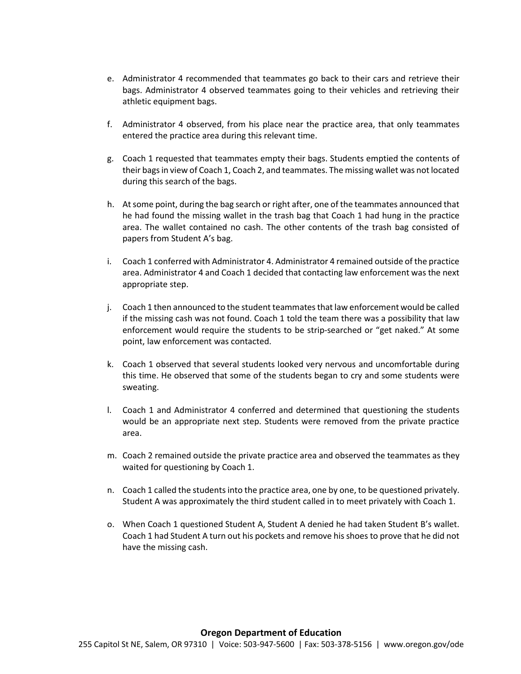- e. Administrator 4 recommended that teammates go back to their cars and retrieve their bags. Administrator 4 observed teammates going to their vehicles and retrieving their athletic equipment bags.
- f. Administrator 4 observed, from his place near the practice area, that only teammates entered the practice area during this relevant time.
- g. Coach 1 requested that teammates empty their bags. Students emptied the contents of their bags in view of Coach 1, Coach 2, and teammates. The missing wallet was not located during this search of the bags.
- h. At some point, during the bag search or right after, one of the teammates announced that he had found the missing wallet in the trash bag that Coach 1 had hung in the practice area. The wallet contained no cash. The other contents of the trash bag consisted of papers from Student A's bag.
- i. Coach 1 conferred with Administrator 4. Administrator 4 remained outside of the practice area. Administrator 4 and Coach 1 decided that contacting law enforcement was the next appropriate step.
- j. Coach 1 then announced to the student teammates that law enforcement would be called if the missing cash was not found. Coach 1 told the team there was a possibility that law enforcement would require the students to be strip-searched or "get naked." At some point, law enforcement was contacted.
- k. Coach 1 observed that several students looked very nervous and uncomfortable during this time. He observed that some of the students began to cry and some students were sweating.
- l. Coach 1 and Administrator 4 conferred and determined that questioning the students would be an appropriate next step. Students were removed from the private practice area.
- m. Coach 2 remained outside the private practice area and observed the teammates as they waited for questioning by Coach 1.
- n. Coach 1 called the students into the practice area, one by one, to be questioned privately. Student A was approximately the third student called in to meet privately with Coach 1.
- o. When Coach 1 questioned Student A, Student A denied he had taken Student B's wallet. Coach 1 had Student A turn out his pockets and remove hisshoes to prove that he did not have the missing cash.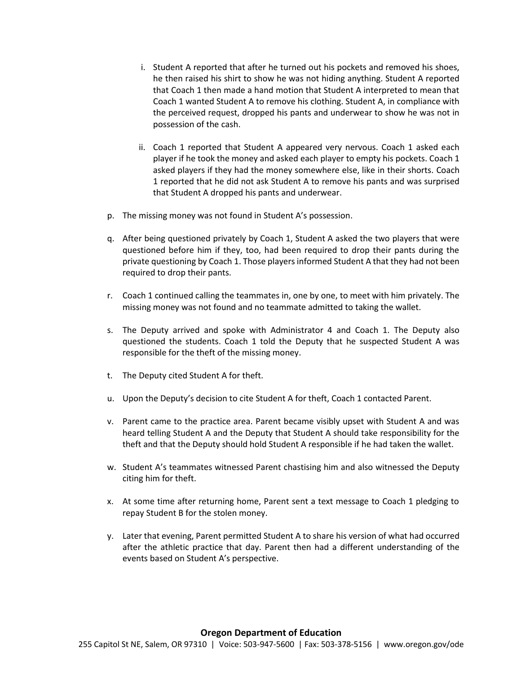- i. Student A reported that after he turned out his pockets and removed his shoes, he then raised his shirt to show he was not hiding anything. Student A reported that Coach 1 then made a hand motion that Student A interpreted to mean that Coach 1 wanted Student A to remove his clothing. Student A, in compliance with the perceived request, dropped his pants and underwear to show he was not in possession of the cash.
- ii. Coach 1 reported that Student A appeared very nervous. Coach 1 asked each player if he took the money and asked each player to empty his pockets. Coach 1 asked players if they had the money somewhere else, like in their shorts. Coach 1 reported that he did not ask Student A to remove his pants and was surprised that Student A dropped his pants and underwear.
- p. The missing money was not found in Student A's possession.
- q. After being questioned privately by Coach 1, Student A asked the two players that were questioned before him if they, too, had been required to drop their pants during the private questioning by Coach 1. Those players informed Student A that they had not been required to drop their pants.
- r. Coach 1 continued calling the teammates in, one by one, to meet with him privately. The missing money was not found and no teammate admitted to taking the wallet.
- s. The Deputy arrived and spoke with Administrator 4 and Coach 1. The Deputy also questioned the students. Coach 1 told the Deputy that he suspected Student A was responsible for the theft of the missing money.
- t. The Deputy cited Student A for theft.
- u. Upon the Deputy's decision to cite Student A for theft, Coach 1 contacted Parent.
- v. Parent came to the practice area. Parent became visibly upset with Student A and was heard telling Student A and the Deputy that Student A should take responsibility for the theft and that the Deputy should hold Student A responsible if he had taken the wallet.
- w. Student A's teammates witnessed Parent chastising him and also witnessed the Deputy citing him for theft.
- x. At some time after returning home, Parent sent a text message to Coach 1 pledging to repay Student B for the stolen money.
- y. Later that evening, Parent permitted Student A to share his version of what had occurred after the athletic practice that day. Parent then had a different understanding of the events based on Student A's perspective.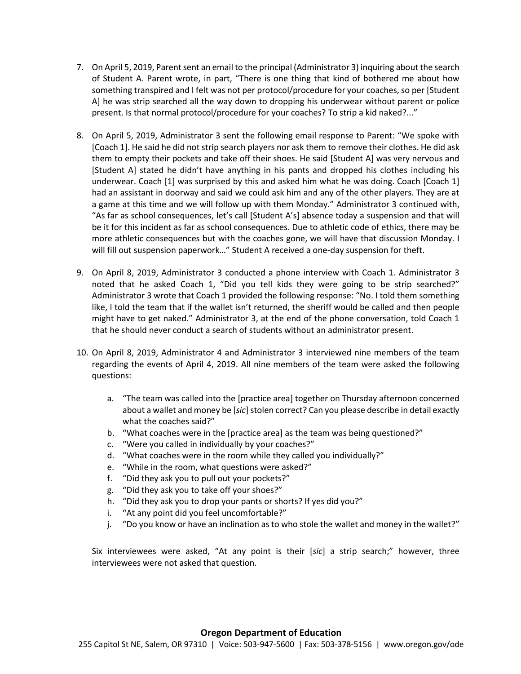- 7. On April 5, 2019, Parent sent an email to the principal (Administrator 3) inquiring about the search of Student A. Parent wrote, in part, "There is one thing that kind of bothered me about how something transpired and I felt was not per protocol/procedure for your coaches, so per [Student A] he was strip searched all the way down to dropping his underwear without parent or police present. Is that normal protocol/procedure for your coaches? To strip a kid naked?..."
- 8. On April 5, 2019, Administrator 3 sent the following email response to Parent: "We spoke with [Coach 1]. He said he did not strip search players nor ask them to remove their clothes. He did ask them to empty their pockets and take off their shoes. He said [Student A] was very nervous and [Student A] stated he didn't have anything in his pants and dropped his clothes including his underwear. Coach [1] was surprised by this and asked him what he was doing. Coach [Coach 1] had an assistant in doorway and said we could ask him and any of the other players. They are at a game at this time and we will follow up with them Monday." Administrator 3 continued with, "As far as school consequences, let's call [Student A's] absence today a suspension and that will be it for this incident as far as school consequences. Due to athletic code of ethics, there may be more athletic consequences but with the coaches gone, we will have that discussion Monday. I will fill out suspension paperwork…" Student A received a one-day suspension for theft.
- 9. On April 8, 2019, Administrator 3 conducted a phone interview with Coach 1. Administrator 3 noted that he asked Coach 1, "Did you tell kids they were going to be strip searched?" Administrator 3 wrote that Coach 1 provided the following response: "No. I told them something like, I told the team that if the wallet isn't returned, the sheriff would be called and then people might have to get naked." Administrator 3, at the end of the phone conversation, told Coach 1 that he should never conduct a search of students without an administrator present.
- 10. On April 8, 2019, Administrator 4 and Administrator 3 interviewed nine members of the team regarding the events of April 4, 2019. All nine members of the team were asked the following questions:
	- a. "The team was called into the [practice area] together on Thursday afternoon concerned about a wallet and money be [sic] stolen correct? Can you please describe in detail exactly what the coaches said?"
	- b. "What coaches were in the [practice area] as the team was being questioned?"
	- c. "Were you called in individually by your coaches?"
	- d. "What coaches were in the room while they called you individually?"
	- e. "While in the room, what questions were asked?"
	- f. "Did they ask you to pull out your pockets?"
	- g. "Did they ask you to take off your shoes?"
	- h. "Did they ask you to drop your pants or shorts? If yes did you?"
	- i. "At any point did you feel uncomfortable?"
	- j. "Do you know or have an inclination as to who stole the wallet and money in the wallet?"

Six interviewees were asked, "At any point is their [*sic*] a strip search;" however, three interviewees were not asked that question.

#### **Oregon Department of Education**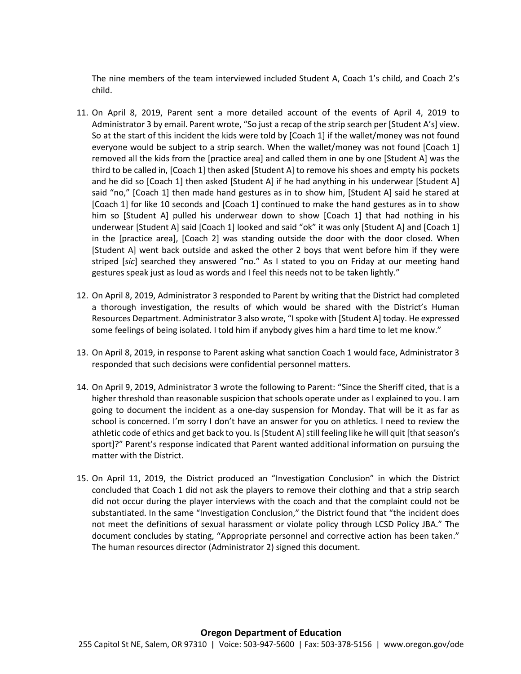The nine members of the team interviewed included Student A, Coach 1's child, and Coach 2's child.

- 11. On April 8, 2019, Parent sent a more detailed account of the events of April 4, 2019 to Administrator 3 by email. Parent wrote, "So just a recap of the strip search per [Student A's] view. So at the start of this incident the kids were told by [Coach 1] if the wallet/money was not found everyone would be subject to a strip search. When the wallet/money was not found [Coach 1] removed all the kids from the [practice area] and called them in one by one [Student A] was the third to be called in, [Coach 1] then asked [Student A] to remove his shoes and empty his pockets and he did so [Coach 1] then asked [Student A] if he had anything in his underwear [Student A] said "no," [Coach 1] then made hand gestures as in to show him, [Student A] said he stared at [Coach 1] for like 10 seconds and [Coach 1] continued to make the hand gestures as in to show him so [Student A] pulled his underwear down to show [Coach 1] that had nothing in his underwear [Student A] said [Coach 1] looked and said "ok" it was only [Student A] and [Coach 1] in the [practice area], [Coach 2] was standing outside the door with the door closed. When [Student A] went back outside and asked the other 2 boys that went before him if they were striped [*sic*] searched they answered "no." As I stated to you on Friday at our meeting hand gestures speak just as loud as words and I feel this needs not to be taken lightly."
- 12. On April 8, 2019, Administrator 3 responded to Parent by writing that the District had completed a thorough investigation, the results of which would be shared with the District's Human Resources Department. Administrator 3 also wrote, "I spoke with [Student A] today. He expressed some feelings of being isolated. I told him if anybody gives him a hard time to let me know."
- 13. On April 8, 2019, in response to Parent asking what sanction Coach 1 would face, Administrator 3 responded that such decisions were confidential personnel matters.
- 14. On April 9, 2019, Administrator 3 wrote the following to Parent: "Since the Sheriff cited, that is a higher threshold than reasonable suspicion that schools operate under as I explained to you. I am going to document the incident as a one-day suspension for Monday. That will be it as far as school is concerned. I'm sorry I don't have an answer for you on athletics. I need to review the athletic code of ethics and get back to you. Is [Student A]still feeling like he will quit [that season's sport]?" Parent's response indicated that Parent wanted additional information on pursuing the matter with the District.
- 15. On April 11, 2019, the District produced an "Investigation Conclusion" in which the District concluded that Coach 1 did not ask the players to remove their clothing and that a strip search did not occur during the player interviews with the coach and that the complaint could not be substantiated. In the same "Investigation Conclusion," the District found that "the incident does not meet the definitions of sexual harassment or violate policy through LCSD Policy JBA." The document concludes by stating, "Appropriate personnel and corrective action has been taken." The human resources director (Administrator 2) signed this document.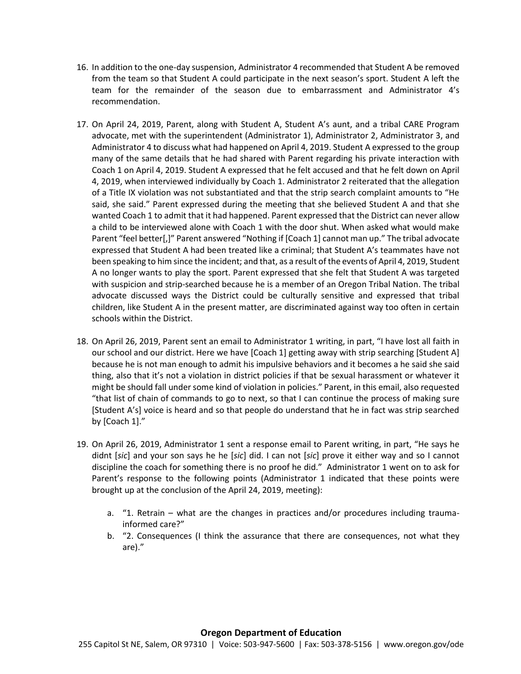- 16. In addition to the one-day suspension, Administrator 4 recommended that Student A be removed from the team so that Student A could participate in the next season's sport. Student A left the team for the remainder of the season due to embarrassment and Administrator 4's recommendation.
- 17. On April 24, 2019, Parent, along with Student A, Student A's aunt, and a tribal CARE Program advocate, met with the superintendent (Administrator 1), Administrator 2, Administrator 3, and Administrator 4 to discuss what had happened on April 4, 2019. Student A expressed to the group many of the same details that he had shared with Parent regarding his private interaction with Coach 1 on April 4, 2019. Student A expressed that he felt accused and that he felt down on April 4, 2019, when interviewed individually by Coach 1. Administrator 2 reiterated that the allegation of a Title IX violation was not substantiated and that the strip search complaint amounts to "He said, she said." Parent expressed during the meeting that she believed Student A and that she wanted Coach 1 to admit that it had happened. Parent expressed that the District can never allow a child to be interviewed alone with Coach 1 with the door shut. When asked what would make Parent "feel better[,]" Parent answered "Nothing if [Coach 1] cannot man up." The tribal advocate expressed that Student A had been treated like a criminal; that Student A's teammates have not been speaking to him since the incident; and that, as a result of the events of April 4, 2019, Student A no longer wants to play the sport. Parent expressed that she felt that Student A was targeted with suspicion and strip-searched because he is a member of an Oregon Tribal Nation. The tribal advocate discussed ways the District could be culturally sensitive and expressed that tribal children, like Student A in the present matter, are discriminated against way too often in certain schools within the District.
- 18. On April 26, 2019, Parent sent an email to Administrator 1 writing, in part, "I have lost all faith in our school and our district. Here we have [Coach 1] getting away with strip searching [Student A] because he is not man enough to admit his impulsive behaviors and it becomes a he said she said thing, also that it's not a violation in district policies if that be sexual harassment or whatever it might be should fall under some kind of violation in policies." Parent, in this email, also requested "that list of chain of commands to go to next, so that I can continue the process of making sure [Student A's] voice is heard and so that people do understand that he in fact was strip searched by [Coach 1]."
- 19. On April 26, 2019, Administrator 1 sent a response email to Parent writing, in part, "He says he didnt [*sic*] and your son says he he [*sic*] did. I can not [*sic*] prove it either way and so I cannot discipline the coach for something there is no proof he did." Administrator 1 went on to ask for Parent's response to the following points (Administrator 1 indicated that these points were brought up at the conclusion of the April 24, 2019, meeting):
	- a. "1. Retrain what are the changes in practices and/or procedures including traumainformed care?"
	- b. "2. Consequences (I think the assurance that there are consequences, not what they are)."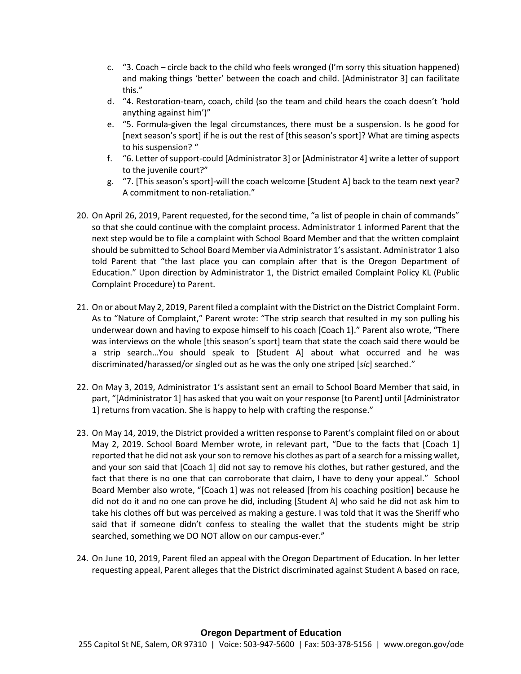- c. "3. Coach circle back to the child who feels wronged (I'm sorry this situation happened) and making things 'better' between the coach and child. [Administrator 3] can facilitate this."
- d. "4. Restoration-team, coach, child (so the team and child hears the coach doesn't 'hold anything against him')"
- e. "5. Formula-given the legal circumstances, there must be a suspension. Is he good for [next season's sport] if he is out the rest of [this season's sport]? What are timing aspects to his suspension? "
- f. "6. Letter of support-could [Administrator 3] or [Administrator 4] write a letter of support to the juvenile court?"
- g. "7. [This season's sport]-will the coach welcome [Student A] back to the team next year? A commitment to non-retaliation."
- 20. On April 26, 2019, Parent requested, for the second time, "a list of people in chain of commands" so that she could continue with the complaint process. Administrator 1 informed Parent that the next step would be to file a complaint with School Board Member and that the written complaint should be submitted to School Board Member via Administrator 1's assistant. Administrator 1 also told Parent that "the last place you can complain after that is the Oregon Department of Education." Upon direction by Administrator 1, the District emailed Complaint Policy KL (Public Complaint Procedure) to Parent.
- 21. On or about May 2, 2019, Parent filed a complaint with the District on the District Complaint Form. As to "Nature of Complaint," Parent wrote: "The strip search that resulted in my son pulling his underwear down and having to expose himself to his coach [Coach 1]." Parent also wrote, "There was interviews on the whole [this season's sport] team that state the coach said there would be a strip search…You should speak to [Student A] about what occurred and he was discriminated/harassed/or singled out as he was the only one striped [*sic*] searched."
- 22. On May 3, 2019, Administrator 1's assistant sent an email to School Board Member that said, in part, "[Administrator 1] has asked that you wait on your response [to Parent] until [Administrator 1] returns from vacation. She is happy to help with crafting the response."
- 23. On May 14, 2019, the District provided a written response to Parent's complaint filed on or about May 2, 2019. School Board Member wrote, in relevant part, "Due to the facts that [Coach 1] reported that he did not ask your son to remove his clothes as part of a search for a missing wallet, and your son said that [Coach 1] did not say to remove his clothes, but rather gestured, and the fact that there is no one that can corroborate that claim, I have to deny your appeal." School Board Member also wrote, "[Coach 1] was not released [from his coaching position] because he did not do it and no one can prove he did, including [Student A] who said he did not ask him to take his clothes off but was perceived as making a gesture. I was told that it was the Sheriff who said that if someone didn't confess to stealing the wallet that the students might be strip searched, something we DO NOT allow on our campus-ever."
- 24. On June 10, 2019, Parent filed an appeal with the Oregon Department of Education. In her letter requesting appeal, Parent alleges that the District discriminated against Student A based on race,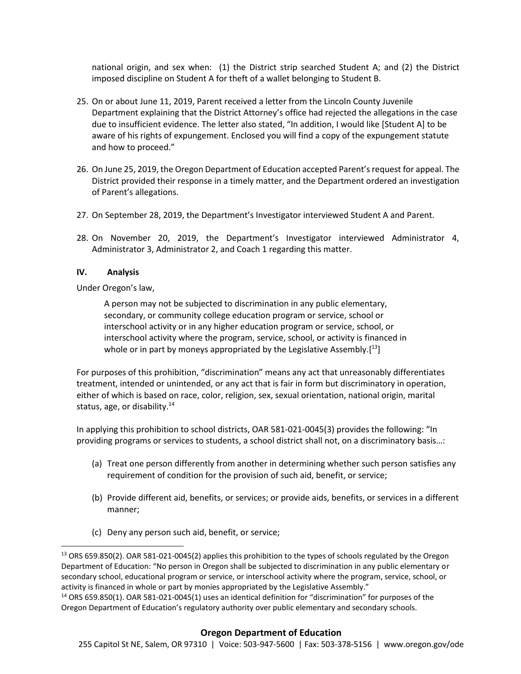national origin, and sex when: (1) the District strip searched Student A; and (2) the District imposed discipline on Student A for theft of a wallet belonging to Student B.

- 25. On or about June 11, 2019, Parent received a letter from the Lincoln County Juvenile Department explaining that the District Attorney's office had rejected the allegations in the case due to insufficient evidence. The letter also stated, "In addition, I would like [Student A] to be aware of his rights of expungement. Enclosed you will find a copy of the expungement statute and how to proceed."
- 26. On June 25, 2019, the Oregon Department of Education accepted Parent's request for appeal. The District provided their response in a timely matter, and the Department ordered an investigation of Parent's allegations.
- 27. On September 28, 2019, the Department's Investigator interviewed Student A and Parent.
- 28. On November 20, 2019, the Department's Investigator interviewed Administrator 4, Administrator 3, Administrator 2, and Coach 1 regarding this matter.

## **IV. Analysis**

 $\overline{a}$ 

Under Oregon's law,

A person may not be subjected to discrimination in any public elementary, secondary, or community college education program or service, school or interschool activity or in any higher education program or service, school, or interschool activity where the program, service, school, or activity is financed in whole or in part by moneys appropriated by the Legislative Assembly.<sup>[13</sup>]

For purposes of this prohibition, "discrimination" means any act that unreasonably differentiates treatment, intended or unintended, or any act that is fair in form but discriminatory in operation, either of which is based on race, color, religion, sex, sexual orientation, national origin, marital status, age, or disability.<sup>14</sup>

In applying this prohibition to school districts, OAR 581-021-0045(3) provides the following: "In providing programs or services to students, a school district shall not, on a discriminatory basis…:

- (a) Treat one person differently from another in determining whether such person satisfies any requirement of condition for the provision of such aid, benefit, or service;
- (b) Provide different aid, benefits, or services; or provide aids, benefits, or services in a different manner;
- (c) Deny any person such aid, benefit, or service;

### **Oregon Department of Education**

<sup>&</sup>lt;sup>13</sup> ORS 659.850(2). OAR 581-021-0045(2) applies this prohibition to the types of schools regulated by the Oregon Department of Education: "No person in Oregon shall be subjected to discrimination in any public elementary or secondary school, educational program or service, or interschool activity where the program, service, school, or activity is financed in whole or part by monies appropriated by the Legislative Assembly."

<sup>&</sup>lt;sup>14</sup> ORS 659.850(1). OAR 581-021-0045(1) uses an identical definition for "discrimination" for purposes of the Oregon Department of Education's regulatory authority over public elementary and secondary schools.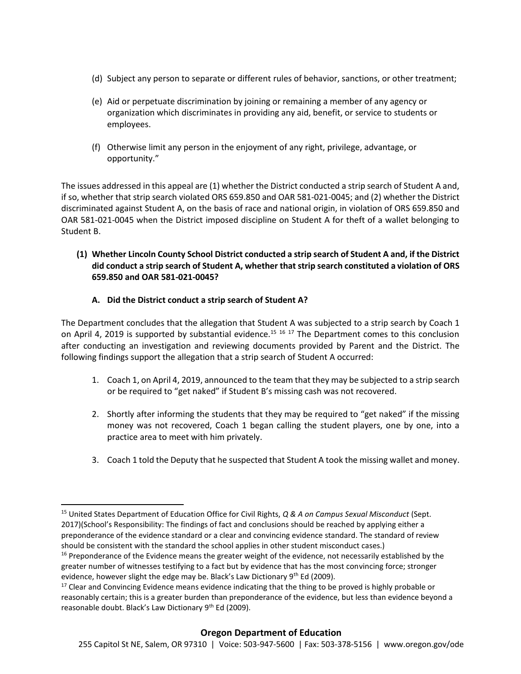- (d) Subject any person to separate or different rules of behavior, sanctions, or other treatment;
- (e) Aid or perpetuate discrimination by joining or remaining a member of any agency or organization which discriminates in providing any aid, benefit, or service to students or employees.
- (f) Otherwise limit any person in the enjoyment of any right, privilege, advantage, or opportunity."

The issues addressed in this appeal are (1) whether the District conducted a strip search of Student A and, if so, whether that strip search violated ORS 659.850 and OAR 581-021-0045; and (2) whether the District discriminated against Student A, on the basis of race and national origin, in violation of ORS 659.850 and OAR 581-021-0045 when the District imposed discipline on Student A for theft of a wallet belonging to Student B.

# **(1) Whether Lincoln County School District conducted a strip search of Student A and, if the District did conduct a strip search of Student A, whether that strip search constituted a violation of ORS 659.850 and OAR 581-021-0045?**

# **A. Did the District conduct a strip search of Student A?**

 $\overline{\phantom{a}}$ 

The Department concludes that the allegation that Student A was subjected to a strip search by Coach 1 on April 4, 2019 is supported by substantial evidence.<sup>15 16</sup> <sup>17</sup> The Department comes to this conclusion after conducting an investigation and reviewing documents provided by Parent and the District. The following findings support the allegation that a strip search of Student A occurred:

- 1. Coach 1, on April 4, 2019, announced to the team that they may be subjected to a strip search or be required to "get naked" if Student B's missing cash was not recovered.
- 2. Shortly after informing the students that they may be required to "get naked" if the missing money was not recovered, Coach 1 began calling the student players, one by one, into a practice area to meet with him privately.
- 3. Coach 1 told the Deputy that he suspected that Student A took the missing wallet and money.

<sup>15</sup> United States Department of Education Office for Civil Rights, *Q & A on Campus Sexual Misconduct* (Sept. 2017)(School's Responsibility: The findings of fact and conclusions should be reached by applying either a preponderance of the evidence standard or a clear and convincing evidence standard. The standard of review should be consistent with the standard the school applies in other student misconduct cases.)

<sup>&</sup>lt;sup>16</sup> Preponderance of the Evidence means the greater weight of the evidence, not necessarily established by the greater number of witnesses testifying to a fact but by evidence that has the most convincing force; stronger evidence, however slight the edge may be. Black's Law Dictionary 9<sup>th</sup> Ed (2009).

 $17$  Clear and Convincing Evidence means evidence indicating that the thing to be proved is highly probable or reasonably certain; this is a greater burden than preponderance of the evidence, but less than evidence beyond a reasonable doubt. Black's Law Dictionary 9<sup>th</sup> Ed (2009).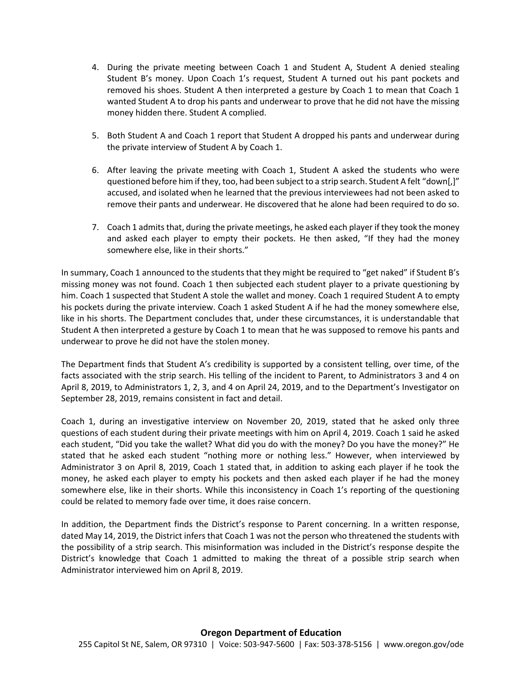- 4. During the private meeting between Coach 1 and Student A, Student A denied stealing Student B's money. Upon Coach 1's request, Student A turned out his pant pockets and removed his shoes. Student A then interpreted a gesture by Coach 1 to mean that Coach 1 wanted Student A to drop his pants and underwear to prove that he did not have the missing money hidden there. Student A complied.
- 5. Both Student A and Coach 1 report that Student A dropped his pants and underwear during the private interview of Student A by Coach 1.
- 6. After leaving the private meeting with Coach 1, Student A asked the students who were questioned before him if they, too, had been subject to a strip search. Student A felt "down[,]" accused, and isolated when he learned that the previous interviewees had not been asked to remove their pants and underwear. He discovered that he alone had been required to do so.
- 7. Coach 1 admits that, during the private meetings, he asked each player if they took the money and asked each player to empty their pockets. He then asked, "If they had the money somewhere else, like in their shorts."

In summary, Coach 1 announced to the students that they might be required to "get naked" if Student B's missing money was not found. Coach 1 then subjected each student player to a private questioning by him. Coach 1 suspected that Student A stole the wallet and money. Coach 1 required Student A to empty his pockets during the private interview. Coach 1 asked Student A if he had the money somewhere else, like in his shorts. The Department concludes that, under these circumstances, it is understandable that Student A then interpreted a gesture by Coach 1 to mean that he was supposed to remove his pants and underwear to prove he did not have the stolen money.

The Department finds that Student A's credibility is supported by a consistent telling, over time, of the facts associated with the strip search. His telling of the incident to Parent, to Administrators 3 and 4 on April 8, 2019, to Administrators 1, 2, 3, and 4 on April 24, 2019, and to the Department's Investigator on September 28, 2019, remains consistent in fact and detail.

Coach 1, during an investigative interview on November 20, 2019, stated that he asked only three questions of each student during their private meetings with him on April 4, 2019. Coach 1 said he asked each student, "Did you take the wallet? What did you do with the money? Do you have the money?" He stated that he asked each student "nothing more or nothing less." However, when interviewed by Administrator 3 on April 8, 2019, Coach 1 stated that, in addition to asking each player if he took the money, he asked each player to empty his pockets and then asked each player if he had the money somewhere else, like in their shorts. While this inconsistency in Coach 1's reporting of the questioning could be related to memory fade over time, it does raise concern.

In addition, the Department finds the District's response to Parent concerning. In a written response, dated May 14, 2019, the District infers that Coach 1 was not the person who threatened the students with the possibility of a strip search. This misinformation was included in the District's response despite the District's knowledge that Coach 1 admitted to making the threat of a possible strip search when Administrator interviewed him on April 8, 2019.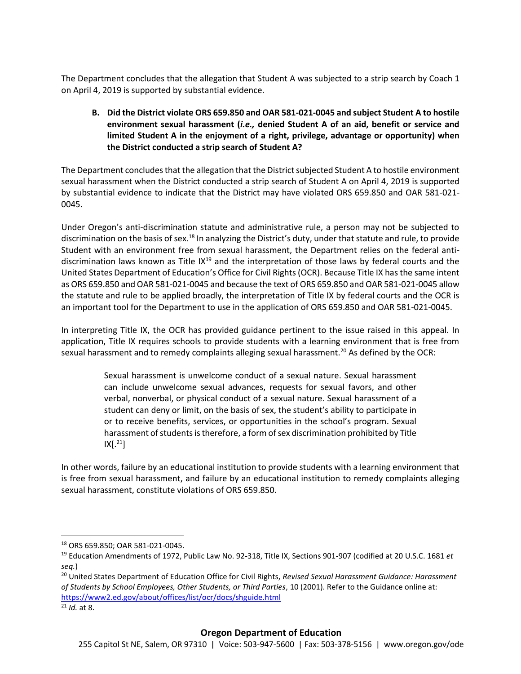The Department concludes that the allegation that Student A was subjected to a strip search by Coach 1 on April 4, 2019 is supported by substantial evidence.

**B. Did the District violate ORS 659.850 and OAR 581-021-0045 and subject Student A to hostile environment sexual harassment (***i.e.,* **denied Student A of an aid, benefit or service and limited Student A in the enjoyment of a right, privilege, advantage or opportunity) when the District conducted a strip search of Student A?**

The Department concludes that the allegation that the District subjected Student A to hostile environment sexual harassment when the District conducted a strip search of Student A on April 4, 2019 is supported by substantial evidence to indicate that the District may have violated ORS 659.850 and OAR 581-021- 0045.

Under Oregon's anti-discrimination statute and administrative rule, a person may not be subjected to discrimination on the basis of sex.<sup>18</sup> In analyzing the District's duty, under that statute and rule, to provide Student with an environment free from sexual harassment, the Department relies on the federal antidiscrimination laws known as Title  $1X^{19}$  and the interpretation of those laws by federal courts and the United States Department of Education's Office for Civil Rights (OCR). Because Title IX has the same intent as ORS 659.850 and OAR 581-021-0045 and because the text of ORS 659.850 and OAR 581-021-0045 allow the statute and rule to be applied broadly, the interpretation of Title IX by federal courts and the OCR is an important tool for the Department to use in the application of ORS 659.850 and OAR 581-021-0045.

In interpreting Title IX, the OCR has provided guidance pertinent to the issue raised in this appeal. In application, Title IX requires schools to provide students with a learning environment that is free from sexual harassment and to remedy complaints alleging sexual harassment.<sup>20</sup> As defined by the OCR:

> Sexual harassment is unwelcome conduct of a sexual nature. Sexual harassment can include unwelcome sexual advances, requests for sexual favors, and other verbal, nonverbal, or physical conduct of a sexual nature. Sexual harassment of a student can deny or limit, on the basis of sex, the student's ability to participate in or to receive benefits, services, or opportunities in the school's program. Sexual harassment of students is therefore, a form of sex discrimination prohibited by Title  $IX[.^{21}]$

In other words, failure by an educational institution to provide students with a learning environment that is free from sexual harassment, and failure by an educational institution to remedy complaints alleging sexual harassment, constitute violations of ORS 659.850.

<sup>18</sup> ORS 659.850; OAR 581-021-0045.

<sup>19</sup> Education Amendments of 1972, Public Law No. 92-318, Title IX, Sections 901-907 (codified at 20 U.S.C. 1681 *et seq.*)

<sup>20</sup> United States Department of Education Office for Civil Rights, *Revised Sexual Harassment Guidance: Harassment of Students by School Employees, Other Students, or Third Parties*, 10 (2001). Refer to the Guidance online at: https://www2.ed.gov/about/offices/list/ocr/docs/shguide.html

<sup>21</sup> *Id.* at 8.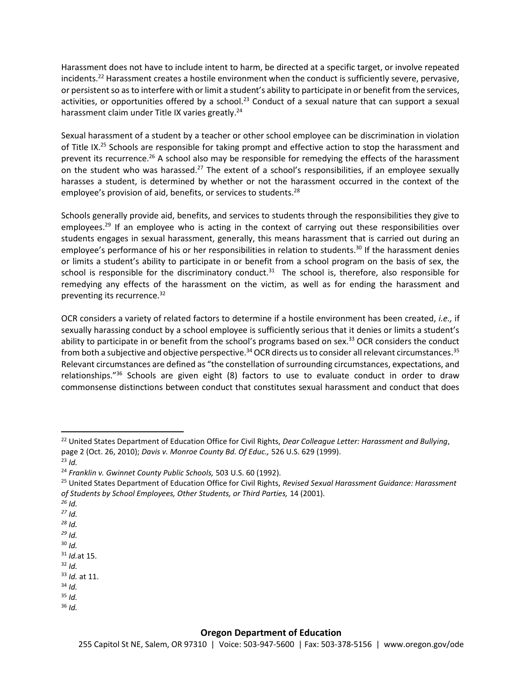Harassment does not have to include intent to harm, be directed at a specific target, or involve repeated incidents.<sup>22</sup> Harassment creates a hostile environment when the conduct is sufficiently severe, pervasive, or persistent so as to interfere with or limit a student's ability to participate in or benefit from the services, activities, or opportunities offered by a school.<sup>23</sup> Conduct of a sexual nature that can support a sexual harassment claim under Title IX varies greatly.<sup>24</sup>

Sexual harassment of a student by a teacher or other school employee can be discrimination in violation of Title IX.<sup>25</sup> Schools are responsible for taking prompt and effective action to stop the harassment and prevent its recurrence.<sup>26</sup> A school also may be responsible for remedying the effects of the harassment on the student who was harassed.<sup>27</sup> The extent of a school's responsibilities, if an employee sexually harasses a student, is determined by whether or not the harassment occurred in the context of the employee's provision of aid, benefits, or services to students.<sup>28</sup>

Schools generally provide aid, benefits, and services to students through the responsibilities they give to employees.<sup>29</sup> If an employee who is acting in the context of carrying out these responsibilities over students engages in sexual harassment, generally, this means harassment that is carried out during an employee's performance of his or her responsibilities in relation to students.<sup>30</sup> If the harassment denies or limits a student's ability to participate in or benefit from a school program on the basis of sex, the school is responsible for the discriminatory conduct.<sup>31</sup> The school is, therefore, also responsible for remedying any effects of the harassment on the victim, as well as for ending the harassment and preventing its recurrence.<sup>32</sup>

OCR considers a variety of related factors to determine if a hostile environment has been created, *i.e.,* if sexually harassing conduct by a school employee is sufficiently serious that it denies or limits a student's ability to participate in or benefit from the school's programs based on sex.<sup>33</sup> OCR considers the conduct from both a subjective and objective perspective.<sup>34</sup> OCR directs us to consider all relevant circumstances.<sup>35</sup> Relevant circumstances are defined as "the constellation of surrounding circumstances, expectations, and relationships." $36$  Schools are given eight (8) factors to use to evaluate conduct in order to draw commonsense distinctions between conduct that constitutes sexual harassment and conduct that does

- *<sup>26</sup> Id.*
- *<sup>27</sup> Id.*
- *<sup>28</sup> Id.*
- *<sup>29</sup> Id.*
- <sup>30</sup> *Id.*
- <sup>31</sup> *Id.*at 15.  $32$  *Id.*
- <sup>33</sup> *Id.* at 11.
- <sup>34</sup> *Id.*
- <sup>35</sup> *Id.*
- <sup>36</sup> *Id.*

<sup>22</sup> United States Department of Education Office for Civil Rights, *Dear Colleague Letter: Harassment and Bullying*, page 2 (Oct. 26, 2010); *Davis v. Monroe County Bd. Of Educ.,* 526 U.S. 629 (1999).

 $^{23}$  *Id.* 

<sup>24</sup> *Franklin v. Gwinnet County Public Schools,* 503 U.S. 60 (1992).

<sup>25</sup> United States Department of Education Office for Civil Rights, *Revised Sexual Harassment Guidance: Harassment of Students by School Employees, Other Students, or Third Parties,* 14 (2001).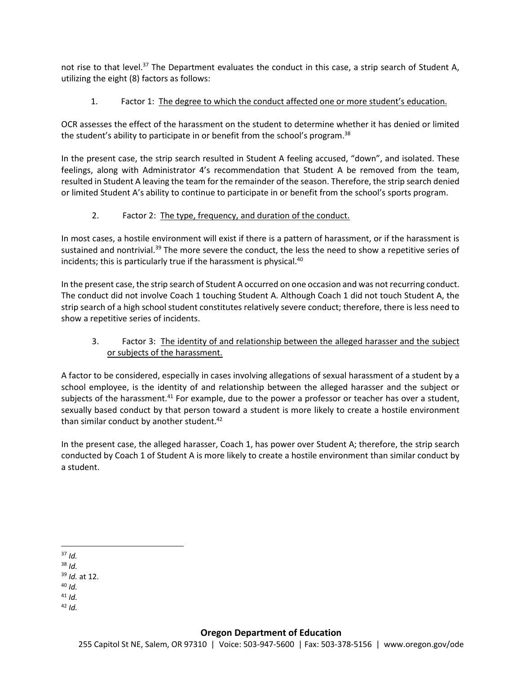not rise to that level.<sup>37</sup> The Department evaluates the conduct in this case, a strip search of Student A, utilizing the eight (8) factors as follows:

# 1. Factor 1: The degree to which the conduct affected one or more student's education.

OCR assesses the effect of the harassment on the student to determine whether it has denied or limited the student's ability to participate in or benefit from the school's program.<sup>38</sup>

In the present case, the strip search resulted in Student A feeling accused, "down", and isolated. These feelings, along with Administrator 4's recommendation that Student A be removed from the team, resulted in Student A leaving the team for the remainder of the season. Therefore, the strip search denied or limited Student A's ability to continue to participate in or benefit from the school's sports program.

# 2. Factor 2: The type, frequency, and duration of the conduct.

In most cases, a hostile environment will exist if there is a pattern of harassment, or if the harassment is sustained and nontrivial.<sup>39</sup> The more severe the conduct, the less the need to show a repetitive series of incidents; this is particularly true if the harassment is physical.<sup>40</sup>

In the present case, the strip search of Student A occurred on one occasion and was not recurring conduct. The conduct did not involve Coach 1 touching Student A. Although Coach 1 did not touch Student A, the strip search of a high school student constitutes relatively severe conduct; therefore, there is less need to show a repetitive series of incidents.

# 3. Factor 3: The identity of and relationship between the alleged harasser and the subject or subjects of the harassment.

A factor to be considered, especially in cases involving allegations of sexual harassment of a student by a school employee, is the identity of and relationship between the alleged harasser and the subject or subjects of the harassment.<sup>41</sup> For example, due to the power a professor or teacher has over a student, sexually based conduct by that person toward a student is more likely to create a hostile environment than similar conduct by another student.<sup>42</sup>

In the present case, the alleged harasser, Coach 1, has power over Student A; therefore, the strip search conducted by Coach 1 of Student A is more likely to create a hostile environment than similar conduct by a student.

 $\overline{a}$  $37$  *Id.* 

- <sup>38</sup> *Id.*
- <sup>39</sup> *Id.* at 12.
- <sup>40</sup> *Id.*
- $41$  *Id.*
- <sup>42</sup> *Id.*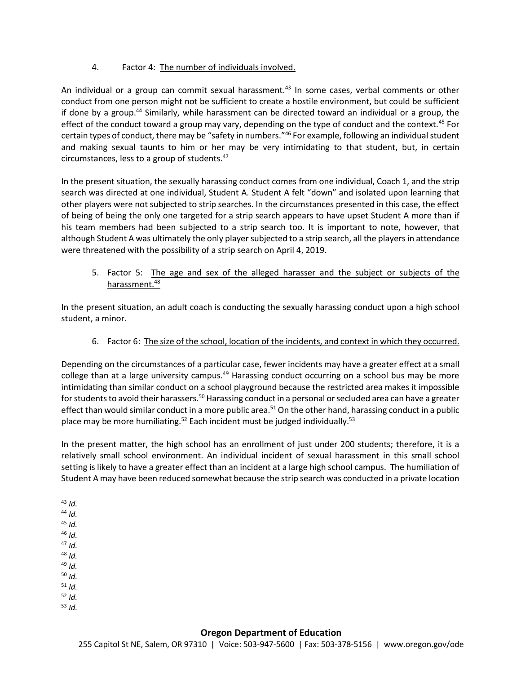4. Factor 4: The number of individuals involved.

An individual or a group can commit sexual harassment.<sup>43</sup> In some cases, verbal comments or other conduct from one person might not be sufficient to create a hostile environment, but could be sufficient if done by a group.<sup>44</sup> Similarly, while harassment can be directed toward an individual or a group, the effect of the conduct toward a group may vary, depending on the type of conduct and the context.<sup>45</sup> For certain types of conduct, there may be "safety in numbers."<sup>46</sup> For example, following an individual student and making sexual taunts to him or her may be very intimidating to that student, but, in certain circumstances, less to a group of students.<sup>47</sup>

In the present situation, the sexually harassing conduct comes from one individual, Coach 1, and the strip search was directed at one individual, Student A. Student A felt "down" and isolated upon learning that other players were not subjected to strip searches. In the circumstances presented in this case, the effect of being of being the only one targeted for a strip search appears to have upset Student A more than if his team members had been subjected to a strip search too. It is important to note, however, that although Student A was ultimately the only player subjected to a strip search, all the players in attendance were threatened with the possibility of a strip search on April 4, 2019.

5. Factor 5: The age and sex of the alleged harasser and the subject or subjects of the harassment.<sup>48</sup>

In the present situation, an adult coach is conducting the sexually harassing conduct upon a high school student, a minor.

6. Factor 6: The size of the school, location of the incidents, and context in which they occurred.

Depending on the circumstances of a particular case, fewer incidents may have a greater effect at a small college than at a large university campus.<sup>49</sup> Harassing conduct occurring on a school bus may be more intimidating than similar conduct on a school playground because the restricted area makes it impossible for students to avoid their harassers.<sup>50</sup> Harassing conduct in a personal or secluded area can have a greater effect than would similar conduct in a more public area.<sup>51</sup> On the other hand, harassing conduct in a public place may be more humiliating.<sup>52</sup> Each incident must be judged individually.<sup>53</sup>

In the present matter, the high school has an enrollment of just under 200 students; therefore, it is a relatively small school environment. An individual incident of sexual harassment in this small school setting is likely to have a greater effect than an incident at a large high school campus. The humiliation of Student A may have been reduced somewhat because the strip search was conducted in a private location

- <sup>44</sup> *Id.*
- <sup>45</sup> *Id.*
- <sup>46</sup> *Id.*
- <sup>47</sup> *Id.* <sup>48</sup> *Id.*
- <sup>49</sup> *Id.*
- <sup>50</sup> *Id.*
- <sup>51</sup> *Id.*
- <sup>52</sup> *Id.*
- <sup>53</sup> *Id.*

 $\overline{a}$ <sup>43</sup> *Id.*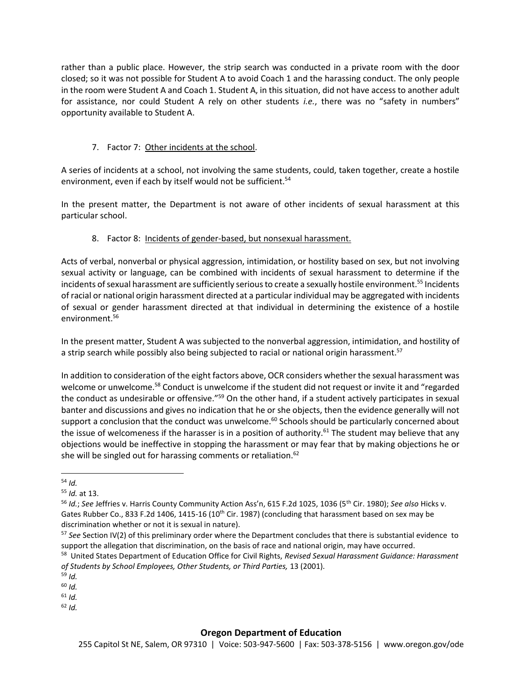rather than a public place. However, the strip search was conducted in a private room with the door closed; so it was not possible for Student A to avoid Coach 1 and the harassing conduct. The only people in the room were Student A and Coach 1. Student A, in this situation, did not have access to another adult for assistance, nor could Student A rely on other students *i.e.*, there was no "safety in numbers" opportunity available to Student A.

# 7. Factor 7: Other incidents at the school.

A series of incidents at a school, not involving the same students, could, taken together, create a hostile environment, even if each by itself would not be sufficient.<sup>54</sup>

In the present matter, the Department is not aware of other incidents of sexual harassment at this particular school.

# 8. Factor 8: Incidents of gender-based, but nonsexual harassment.

Acts of verbal, nonverbal or physical aggression, intimidation, or hostility based on sex, but not involving sexual activity or language, can be combined with incidents of sexual harassment to determine if the incidents of sexual harassment are sufficiently serious to create a sexually hostile environment.<sup>55</sup> Incidents of racial or national origin harassment directed at a particular individual may be aggregated with incidents of sexual or gender harassment directed at that individual in determining the existence of a hostile environment.<sup>56</sup>

In the present matter, Student A was subjected to the nonverbal aggression, intimidation, and hostility of a strip search while possibly also being subjected to racial or national origin harassment.<sup>57</sup>

In addition to consideration of the eight factors above, OCR considers whether the sexual harassment was welcome or unwelcome.<sup>58</sup> Conduct is unwelcome if the student did not request or invite it and "regarded" the conduct as undesirable or offensive."<sup>59</sup> On the other hand, if a student actively participates in sexual banter and discussions and gives no indication that he or she objects, then the evidence generally will not support a conclusion that the conduct was unwelcome.<sup>60</sup> Schools should be particularly concerned about the issue of welcomeness if the harasser is in a position of authority.<sup>61</sup> The student may believe that any objections would be ineffective in stopping the harassment or may fear that by making objections he or she will be singled out for harassing comments or retaliation.<sup>62</sup>

<sup>54</sup> *Id.*

<sup>55</sup> *Id.* at 13.

<sup>56</sup> *Id.*; *See* Jeffries v. Harris County Community Action Ass'n, 615 F.2d 1025, 1036 (5th Cir. 1980); *See also* Hicks v. Gates Rubber Co., 833 F.2d 1406, 1415-16 (10<sup>th</sup> Cir. 1987) (concluding that harassment based on sex may be discrimination whether or not it is sexual in nature).

<sup>57</sup> *See* Section IV(2) of this preliminary order where the Department concludes that there is substantial evidence to support the allegation that discrimination, on the basis of race and national origin, may have occurred.

<sup>58</sup> United States Department of Education Office for Civil Rights, *Revised Sexual Harassment Guidance: Harassment of Students by School Employees, Other Students, or Third Parties,* 13 (2001).

<sup>59</sup> *Id.*

<sup>60</sup> *Id.*

<sup>61</sup> *Id.*

 $62$  *Id.*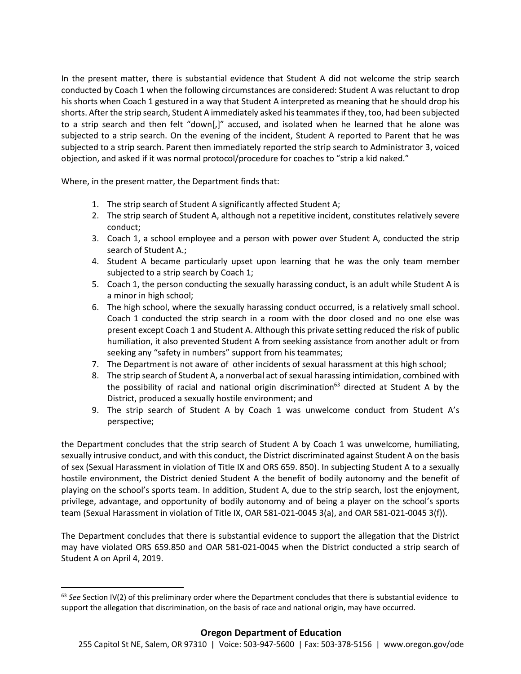In the present matter, there is substantial evidence that Student A did not welcome the strip search conducted by Coach 1 when the following circumstances are considered: Student A was reluctant to drop his shorts when Coach 1 gestured in a way that Student A interpreted as meaning that he should drop his shorts. After the strip search, Student A immediately asked his teammates if they, too, had been subjected to a strip search and then felt "down[,]" accused, and isolated when he learned that he alone was subjected to a strip search. On the evening of the incident, Student A reported to Parent that he was subjected to a strip search. Parent then immediately reported the strip search to Administrator 3, voiced objection, and asked if it was normal protocol/procedure for coaches to "strip a kid naked."

Where, in the present matter, the Department finds that:

 $\overline{a}$ 

- 1. The strip search of Student A significantly affected Student A;
- 2. The strip search of Student A, although not a repetitive incident, constitutes relatively severe conduct;
- 3. Coach 1, a school employee and a person with power over Student A, conducted the strip search of Student A.;
- 4. Student A became particularly upset upon learning that he was the only team member subjected to a strip search by Coach 1;
- 5. Coach 1, the person conducting the sexually harassing conduct, is an adult while Student A is a minor in high school;
- 6. The high school, where the sexually harassing conduct occurred, is a relatively small school. Coach 1 conducted the strip search in a room with the door closed and no one else was present except Coach 1 and Student A. Although this private setting reduced the risk of public humiliation, it also prevented Student A from seeking assistance from another adult or from seeking any "safety in numbers" support from his teammates;
- 7. The Department is not aware of other incidents of sexual harassment at this high school;
- 8. The strip search of Student A, a nonverbal act of sexual harassing intimidation, combined with the possibility of racial and national origin discrimination<sup>63</sup> directed at Student A by the District, produced a sexually hostile environment; and
- 9. The strip search of Student A by Coach 1 was unwelcome conduct from Student A's perspective;

the Department concludes that the strip search of Student A by Coach 1 was unwelcome, humiliating, sexually intrusive conduct, and with this conduct, the District discriminated against Student A on the basis of sex (Sexual Harassment in violation of Title IX and ORS 659. 850). In subjecting Student A to a sexually hostile environment, the District denied Student A the benefit of bodily autonomy and the benefit of playing on the school's sports team. In addition, Student A, due to the strip search, lost the enjoyment, privilege, advantage, and opportunity of bodily autonomy and of being a player on the school's sports team (Sexual Harassment in violation of Title IX, OAR 581-021-0045 3(a), and OAR 581-021-0045 3(f)).

The Department concludes that there is substantial evidence to support the allegation that the District may have violated ORS 659.850 and OAR 581-021-0045 when the District conducted a strip search of Student A on April 4, 2019.

<sup>63</sup> *See* Section IV(2) of this preliminary order where the Department concludes that there is substantial evidence to support the allegation that discrimination, on the basis of race and national origin, may have occurred.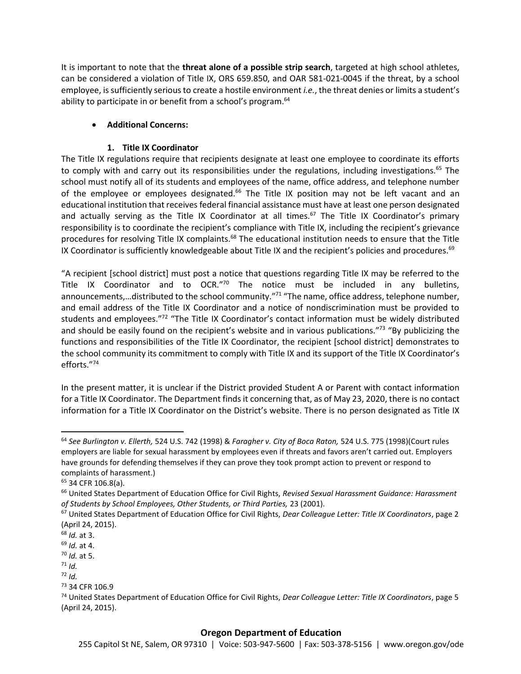It is important to note that the **threat alone of a possible strip search**, targeted at high school athletes, can be considered a violation of Title IX, ORS 659.850, and OAR 581-021-0045 if the threat, by a school employee, is sufficiently serious to create a hostile environment *i.e.*, the threat denies or limits a student's ability to participate in or benefit from a school's program.<sup>64</sup>

## **Additional Concerns:**

## **1. Title IX Coordinator**

The Title IX regulations require that recipients designate at least one employee to coordinate its efforts to comply with and carry out its responsibilities under the regulations, including investigations.<sup>65</sup> The school must notify all of its students and employees of the name, office address, and telephone number of the employee or employees designated.<sup>66</sup> The Title IX position may not be left vacant and an educational institution that receives federal financial assistance must have at least one person designated and actually serving as the Title IX Coordinator at all times.<sup>67</sup> The Title IX Coordinator's primary responsibility is to coordinate the recipient's compliance with Title IX, including the recipient's grievance procedures for resolving Title IX complaints.<sup>68</sup> The educational institution needs to ensure that the Title IX Coordinator is sufficiently knowledgeable about Title IX and the recipient's policies and procedures.<sup>69</sup>

"A recipient [school district] must post a notice that questions regarding Title IX may be referred to the Title IX Coordinator and to OCR."<sup>70</sup> The notice must be included in any bulletins, announcements,...distributed to the school community."<sup>71</sup> "The name, office address, telephone number, and email address of the Title IX Coordinator and a notice of nondiscrimination must be provided to students and employees."<sup>72</sup> "The Title IX Coordinator's contact information must be widely distributed and should be easily found on the recipient's website and in various publications."<sup>73</sup> "By publicizing the functions and responsibilities of the Title IX Coordinator, the recipient [school district] demonstrates to the school community its commitment to comply with Title IX and its support of the Title IX Coordinator's efforts." 74

In the present matter, it is unclear if the District provided Student A or Parent with contact information for a Title IX Coordinator. The Department finds it concerning that, as of May 23, 2020, there is no contact information for a Title IX Coordinator on the District's website. There is no person designated as Title IX

 $\overline{a}$ 

### **Oregon Department of Education**

<sup>64</sup> *See Burlington v. Ellerth,* 524 U.S. 742 (1998) & *Faragher v. City of Boca Raton,* 524 U.S. 775 (1998)(Court rules employers are liable for sexual harassment by employees even if threats and favors aren't carried out. Employers have grounds for defending themselves if they can prove they took prompt action to prevent or respond to complaints of harassment.)

<sup>&</sup>lt;sup>65</sup> 34 CFR 106.8(a).

<sup>66</sup> United States Department of Education Office for Civil Rights, *Revised Sexual Harassment Guidance: Harassment of Students by School Employees, Other Students, or Third Parties,* 23 (2001).

<sup>67</sup> United States Department of Education Office for Civil Rights, *Dear Colleague Letter: Title IX Coordinators*, page 2 (April 24, 2015).

<sup>68</sup> *Id.* at 3.

<sup>69</sup> *Id.* at 4.

<sup>70</sup> *Id.* at 5.

 $71$  *Id.* 

 $72$  *Id.* 

<sup>73</sup> 34 CFR 106.9

<sup>74</sup> United States Department of Education Office for Civil Rights, *Dear Colleague Letter: Title IX Coordinators*, page 5 (April 24, 2015).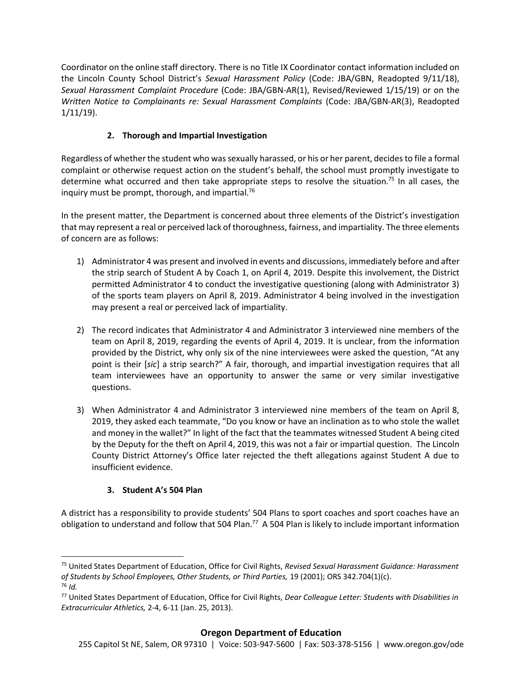Coordinator on the online staff directory. There is no Title IX Coordinator contact information included on the Lincoln County School District's *Sexual Harassment Policy* (Code: JBA/GBN, Readopted 9/11/18), *Sexual Harassment Complaint Procedure* (Code: JBA/GBN-AR(1), Revised/Reviewed 1/15/19) or on the *Written Notice to Complainants re: Sexual Harassment Complaints* (Code: JBA/GBN-AR(3), Readopted 1/11/19).

# **2. Thorough and Impartial Investigation**

Regardless of whether the student who was sexually harassed, or his or her parent, decides to file a formal complaint or otherwise request action on the student's behalf, the school must promptly investigate to determine what occurred and then take appropriate steps to resolve the situation.<sup>75</sup> In all cases, the inquiry must be prompt, thorough, and impartial.<sup>76</sup>

In the present matter, the Department is concerned about three elements of the District's investigation that may represent a real or perceived lack of thoroughness, fairness, and impartiality. The three elements of concern are as follows:

- 1) Administrator 4 was present and involved in events and discussions, immediately before and after the strip search of Student A by Coach 1, on April 4, 2019. Despite this involvement, the District permitted Administrator 4 to conduct the investigative questioning (along with Administrator 3) of the sports team players on April 8, 2019. Administrator 4 being involved in the investigation may present a real or perceived lack of impartiality.
- 2) The record indicates that Administrator 4 and Administrator 3 interviewed nine members of the team on April 8, 2019, regarding the events of April 4, 2019. It is unclear, from the information provided by the District, why only six of the nine interviewees were asked the question, "At any point is their [*sic*] a strip search?" A fair, thorough, and impartial investigation requires that all team interviewees have an opportunity to answer the same or very similar investigative questions.
- 3) When Administrator 4 and Administrator 3 interviewed nine members of the team on April 8, 2019, they asked each teammate, "Do you know or have an inclination as to who stole the wallet and money in the wallet?" In light of the fact that the teammates witnessed Student A being cited by the Deputy for the theft on April 4, 2019, this was not a fair or impartial question. The Lincoln County District Attorney's Office later rejected the theft allegations against Student A due to insufficient evidence.

# **3. Student A's 504 Plan**

 $\overline{a}$ 

A district has a responsibility to provide students' 504 Plans to sport coaches and sport coaches have an obligation to understand and follow that 504 Plan.<sup>77</sup> A 504 Plan is likely to include important information

<sup>75</sup> United States Department of Education, Office for Civil Rights, *Revised Sexual Harassment Guidance: Harassment of Students by School Employees, Other Students, or Third Parties,* 19 (2001); ORS 342.704(1)(c). <sup>76</sup> *Id.*

<sup>77</sup> United States Department of Education, Office for Civil Rights, *Dear Colleague Letter: Students with Disabilities in Extracurricular Athletics,* 2-4, 6-11 (Jan. 25, 2013).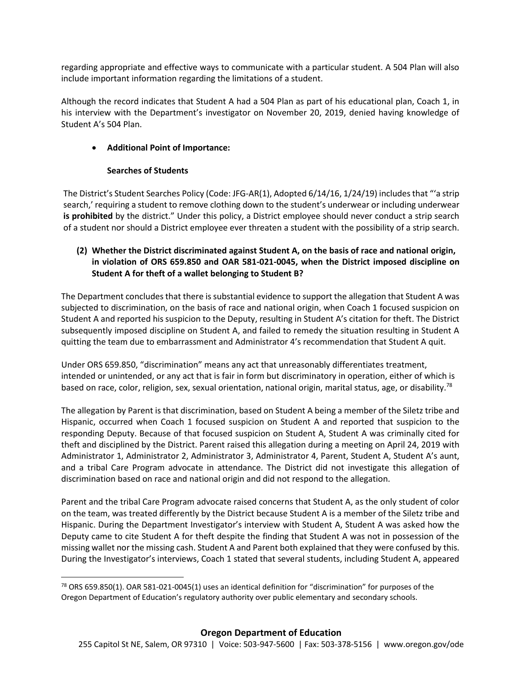regarding appropriate and effective ways to communicate with a particular student. A 504 Plan will also include important information regarding the limitations of a student.

Although the record indicates that Student A had a 504 Plan as part of his educational plan, Coach 1, in his interview with the Department's investigator on November 20, 2019, denied having knowledge of Student A's 504 Plan.

# **Additional Point of Importance:**

### **Searches of Students**

 $\overline{\phantom{a}}$ 

The District's Student Searches Policy (Code: JFG-AR(1), Adopted 6/14/16, 1/24/19) includes that "'a strip search,' requiring a student to remove clothing down to the student's underwear or including underwear **is prohibited** by the district." Under this policy, a District employee should never conduct a strip search of a student nor should a District employee ever threaten a student with the possibility of a strip search.

# **(2) Whether the District discriminated against Student A, on the basis of race and national origin, in violation of ORS 659.850 and OAR 581-021-0045, when the District imposed discipline on Student A for theft of a wallet belonging to Student B?**

The Department concludes that there is substantial evidence to support the allegation that Student A was subjected to discrimination, on the basis of race and national origin, when Coach 1 focused suspicion on Student A and reported hissuspicion to the Deputy, resulting in Student A's citation for theft. The District subsequently imposed discipline on Student A, and failed to remedy the situation resulting in Student A quitting the team due to embarrassment and Administrator 4's recommendation that Student A quit.

Under ORS 659.850, "discrimination" means any act that unreasonably differentiates treatment, intended or unintended, or any act that is fair in form but discriminatory in operation, either of which is based on race, color, religion, sex, sexual orientation, national origin, marital status, age, or disability.<sup>78</sup>

The allegation by Parent is that discrimination, based on Student A being a member of the Siletz tribe and Hispanic, occurred when Coach 1 focused suspicion on Student A and reported that suspicion to the responding Deputy. Because of that focused suspicion on Student A, Student A was criminally cited for theft and disciplined by the District. Parent raised this allegation during a meeting on April 24, 2019 with Administrator 1, Administrator 2, Administrator 3, Administrator 4, Parent, Student A, Student A's aunt, and a tribal Care Program advocate in attendance. The District did not investigate this allegation of discrimination based on race and national origin and did not respond to the allegation.

Parent and the tribal Care Program advocate raised concerns that Student A, as the only student of color on the team, was treated differently by the District because Student A is a member of the Siletz tribe and Hispanic. During the Department Investigator's interview with Student A, Student A was asked how the Deputy came to cite Student A for theft despite the finding that Student A was not in possession of the missing wallet nor the missing cash. Student A and Parent both explained that they were confused by this. During the Investigator's interviews, Coach 1 stated that several students, including Student A, appeared

<sup>&</sup>lt;sup>78</sup> ORS 659.850(1). OAR 581-021-0045(1) uses an identical definition for "discrimination" for purposes of the Oregon Department of Education's regulatory authority over public elementary and secondary schools.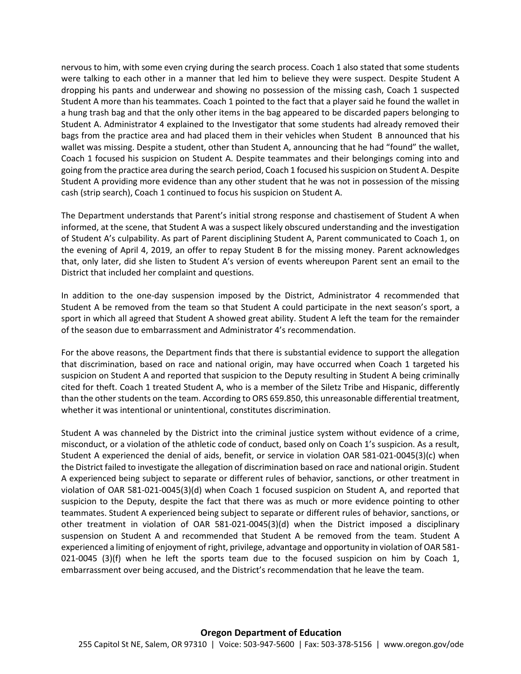nervous to him, with some even crying during the search process. Coach 1 also stated that some students were talking to each other in a manner that led him to believe they were suspect. Despite Student A dropping his pants and underwear and showing no possession of the missing cash, Coach 1 suspected Student A more than his teammates. Coach 1 pointed to the fact that a player said he found the wallet in a hung trash bag and that the only other items in the bag appeared to be discarded papers belonging to Student A. Administrator 4 explained to the Investigator that some students had already removed their bags from the practice area and had placed them in their vehicles when Student B announced that his wallet was missing. Despite a student, other than Student A, announcing that he had "found" the wallet, Coach 1 focused his suspicion on Student A. Despite teammates and their belongings coming into and going from the practice area during the search period, Coach 1 focused his suspicion on Student A. Despite Student A providing more evidence than any other student that he was not in possession of the missing cash (strip search), Coach 1 continued to focus his suspicion on Student A.

The Department understands that Parent's initial strong response and chastisement of Student A when informed, at the scene, that Student A was a suspect likely obscured understanding and the investigation of Student A's culpability. As part of Parent disciplining Student A, Parent communicated to Coach 1, on the evening of April 4, 2019, an offer to repay Student B for the missing money. Parent acknowledges that, only later, did she listen to Student A's version of events whereupon Parent sent an email to the District that included her complaint and questions.

In addition to the one-day suspension imposed by the District, Administrator 4 recommended that Student A be removed from the team so that Student A could participate in the next season's sport, a sport in which all agreed that Student A showed great ability. Student A left the team for the remainder of the season due to embarrassment and Administrator 4's recommendation.

For the above reasons, the Department finds that there is substantial evidence to support the allegation that discrimination, based on race and national origin, may have occurred when Coach 1 targeted his suspicion on Student A and reported that suspicion to the Deputy resulting in Student A being criminally cited for theft. Coach 1 treated Student A, who is a member of the Siletz Tribe and Hispanic, differently than the other students on the team. According to ORS 659.850, this unreasonable differential treatment, whether it was intentional or unintentional, constitutes discrimination.

Student A was channeled by the District into the criminal justice system without evidence of a crime, misconduct, or a violation of the athletic code of conduct, based only on Coach 1's suspicion. As a result, Student A experienced the denial of aids, benefit, or service in violation OAR 581-021-0045(3)(c) when the District failed to investigate the allegation of discrimination based on race and national origin. Student A experienced being subject to separate or different rules of behavior, sanctions, or other treatment in violation of OAR 581-021-0045(3)(d) when Coach 1 focused suspicion on Student A, and reported that suspicion to the Deputy, despite the fact that there was as much or more evidence pointing to other teammates. Student A experienced being subject to separate or different rules of behavior, sanctions, or other treatment in violation of OAR 581-021-0045(3)(d) when the District imposed a disciplinary suspension on Student A and recommended that Student A be removed from the team. Student A experienced a limiting of enjoyment of right, privilege, advantage and opportunity in violation of OAR 581- 021-0045 (3)(f) when he left the sports team due to the focused suspicion on him by Coach 1, embarrassment over being accused, and the District's recommendation that he leave the team.